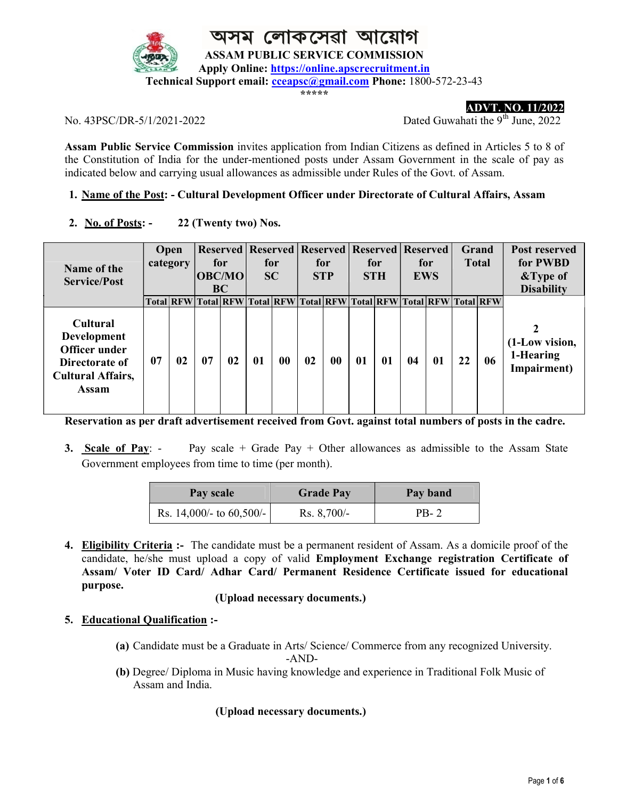

\*\*\*\*\*

ADVT. NO. 11/2022

No.  $43PSC/DR-5/1/2021-2022$  Dated Guwahati the 9<sup>th</sup> June, 2022

Assam Public Service Commission invites application from Indian Citizens as defined in Articles 5 to 8 of the Constitution of India for the under-mentioned posts under Assam Government in the scale of pay as indicated below and carrying usual allowances as admissible under Rules of the Govt. of Assam.

### 1. Name of the Post: - Cultural Development Officer under Directorate of Cultural Affairs, Assam

2. No. of Posts: - 22 (Twenty two) Nos.

| Name of the<br><b>Service/Post</b>                                                                            | Open<br>category |                  | for<br><b>OBC/MO</b><br><b>BC</b> |    | for<br><b>SC</b>              |    | for<br><b>STP</b> |    | Reserved   Reserved   Reserved   Reserved   Reserved<br>for<br><b>STH</b> |           | for<br><b>EWS</b> |    | <b>Grand</b><br><b>Total</b> |                  | <b>Post reserved</b><br>for PWBD<br>&Type of<br><b>Disability</b> |
|---------------------------------------------------------------------------------------------------------------|------------------|------------------|-----------------------------------|----|-------------------------------|----|-------------------|----|---------------------------------------------------------------------------|-----------|-------------------|----|------------------------------|------------------|-------------------------------------------------------------------|
|                                                                                                               |                  | <b>Total RFW</b> |                                   |    | Total RFW Total RFW Total RFW |    |                   |    |                                                                           | Total RFW | <b>Total RFW</b>  |    |                              | <b>Total RFW</b> |                                                                   |
| <b>Cultural</b><br><b>Development</b><br>Officer under<br>Directorate of<br><b>Cultural Affairs,</b><br>Assam | 07               | 02               | 07                                | 02 | 01                            | 00 | 02                | 00 | 01                                                                        | 01        | 04                | 01 | 22                           | 06               | (1-Low vision,<br>1-Hearing<br>Impairment)                        |

Reservation as per draft advertisement received from Govt. against total numbers of posts in the cadre.

3. Scale of Pay: - Pay scale + Grade Pay + Other allowances as admissible to the Assam State Government employees from time to time (per month).

| Pay scale                   | <b>Grade Pay</b> | Pay band |  |  |
|-----------------------------|------------------|----------|--|--|
| Rs. 14,000/- to $60,500/$ - | $Rs. 8,700/-$    | PB-2     |  |  |

4. Eligibility Criteria :- The candidate must be a permanent resident of Assam. As a domicile proof of the candidate, he/she must upload a copy of valid Employment Exchange registration Certificate of Assam/ Voter ID Card/ Adhar Card/ Permanent Residence Certificate issued for educational purpose.

### (Upload necessary documents.)

### 5. Educational Qualification :-

(a) Candidate must be a Graduate in Arts/ Science/ Commerce from any recognized University. -AND-

(b) Degree/ Diploma in Music having knowledge and experience in Traditional Folk Music of Assam and India.

### (Upload necessary documents.)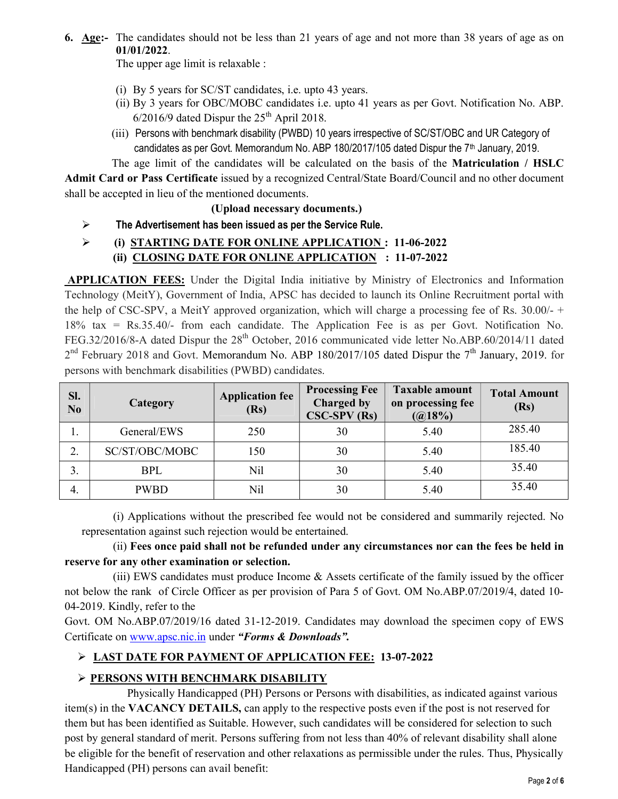6. Age:- The candidates should not be less than 21 years of age and not more than 38 years of age as on 01/01/2022.

The upper age limit is relaxable :

- (i) By 5 years for SC/ST candidates, i.e. upto 43 years.
- (ii) By 3 years for OBC/MOBC candidates i.e. upto 41 years as per Govt. Notification No. ABP.  $6/2016/9$  dated Dispur the  $25<sup>th</sup>$  April 2018.
- (iii) Persons with benchmark disability (PWBD) 10 years irrespective of SC/ST/OBC and UR Category of candidates as per Govt. Memorandum No. ABP 180/2017/105 dated Dispur the  $7<sup>th</sup>$  January, 2019.

The age limit of the candidates will be calculated on the basis of the Matriculation / HSLC Admit Card or Pass Certificate issued by a recognized Central/State Board/Council and no other document shall be accepted in lieu of the mentioned documents.

### (Upload necessary documents.)

 $\triangleright$  The Advertisement has been issued as per the Service Rule.

## (i) STARTING DATE FOR ONLINE APPLICATION : 11-06-2022 (ii) CLOSING DATE FOR ONLINE APPLICATION : 11-07-2022

APPLICATION FEES: Under the Digital India initiative by Ministry of Electronics and Information Technology (MeitY), Government of India, APSC has decided to launch its Online Recruitment portal with the help of CSC-SPV, a MeitY approved organization, which will charge a processing fee of Rs. 30.00/- + 18% tax = Rs.35.40/- from each candidate. The Application Fee is as per Govt. Notification No. FEG.32/2016/8-A dated Dispur the 28<sup>th</sup> October, 2016 communicated vide letter No.ABP.60/2014/11 dated  $2<sup>nd</sup>$  February 2018 and Govt. Memorandum No. ABP 180/2017/105 dated Dispur the 7<sup>th</sup> January, 2019. for persons with benchmark disabilities (PWBD) candidates.

| SI.<br>No | Category       | <b>Application fee</b><br>(Rs) | <b>Processing Fee</b><br><b>Charged by</b><br>$CSC-SPV$ (Rs) | <b>Taxable amount</b><br>on processing fee<br>(Q18%) | <b>Total Amount</b><br>(Rs) |
|-----------|----------------|--------------------------------|--------------------------------------------------------------|------------------------------------------------------|-----------------------------|
| ı.        | General/EWS    | 250                            | 30                                                           | 5.40                                                 | 285.40                      |
|           | SC/ST/OBC/MOBC | 150                            | 30                                                           | 5.40                                                 | 185.40                      |
| 3.        | <b>BPL</b>     | Nil                            | 30                                                           | 5.40                                                 | 35.40                       |
| 4.        | <b>PWBD</b>    | Nil                            | 30                                                           | 5.40                                                 | 35.40                       |

 (i) Applications without the prescribed fee would not be considered and summarily rejected. No representation against such rejection would be entertained.

 (ii) Fees once paid shall not be refunded under any circumstances nor can the fees be held in reserve for any other examination or selection.

 (iii) EWS candidates must produce Income & Assets certificate of the family issued by the officer not below the rank of Circle Officer as per provision of Para 5 of Govt. OM No.ABP.07/2019/4, dated 10- 04-2019. Kindly, refer to the

Govt. OM No.ABP.07/2019/16 dated 31-12-2019. Candidates may download the specimen copy of EWS Certificate on www.apsc.nic.in under "Forms & Downloads".

# LAST DATE FOR PAYMENT OF APPLICATION FEE: 13-07-2022

# PERSONS WITH BENCHMARK DISABILITY

 Physically Handicapped (PH) Persons or Persons with disabilities, as indicated against various item(s) in the VACANCY DETAILS, can apply to the respective posts even if the post is not reserved for them but has been identified as Suitable. However, such candidates will be considered for selection to such post by general standard of merit. Persons suffering from not less than 40% of relevant disability shall alone be eligible for the benefit of reservation and other relaxations as permissible under the rules. Thus, Physically Handicapped (PH) persons can avail benefit: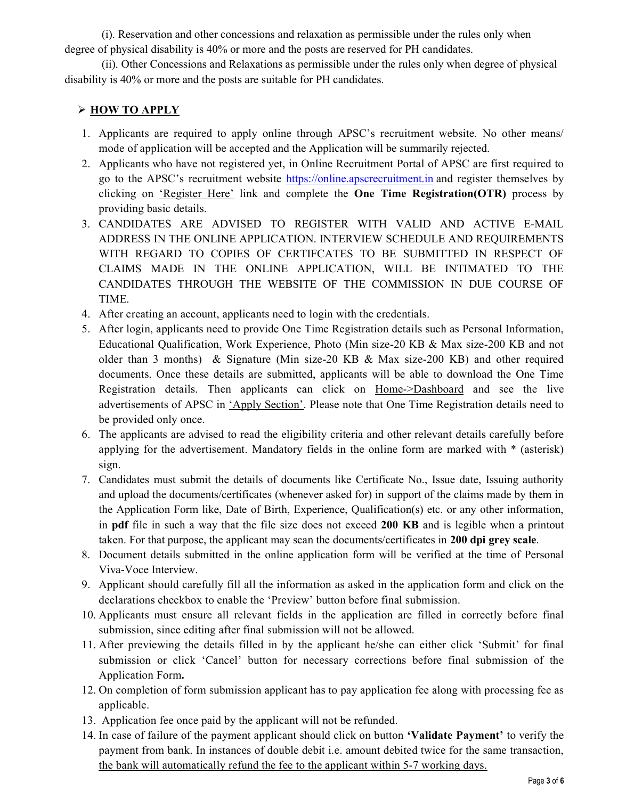(i). Reservation and other concessions and relaxation as permissible under the rules only when degree of physical disability is 40% or more and the posts are reserved for PH candidates.

 (ii). Other Concessions and Relaxations as permissible under the rules only when degree of physical disability is 40% or more and the posts are suitable for PH candidates.

## > HOW TO APPLY

- 1. Applicants are required to apply online through APSC's recruitment website. No other means/ mode of application will be accepted and the Application will be summarily rejected.
- 2. Applicants who have not registered yet, in Online Recruitment Portal of APSC are first required to go to the APSC's recruitment website https://online.apscrecruitment.in and register themselves by clicking on 'Register Here' link and complete the One Time Registration(OTR) process by providing basic details.
- 3. CANDIDATES ARE ADVISED TO REGISTER WITH VALID AND ACTIVE E-MAIL ADDRESS IN THE ONLINE APPLICATION. INTERVIEW SCHEDULE AND REQUIREMENTS WITH REGARD TO COPIES OF CERTIFCATES TO BE SUBMITTED IN RESPECT OF CLAIMS MADE IN THE ONLINE APPLICATION, WILL BE INTIMATED TO THE CANDIDATES THROUGH THE WEBSITE OF THE COMMISSION IN DUE COURSE OF TIME.
- 4. After creating an account, applicants need to login with the credentials.
- 5. After login, applicants need to provide One Time Registration details such as Personal Information, Educational Qualification, Work Experience, Photo (Min size-20 KB & Max size-200 KB and not older than 3 months) & Signature (Min size-20 KB & Max size-200 KB) and other required documents. Once these details are submitted, applicants will be able to download the One Time Registration details. Then applicants can click on Home->Dashboard and see the live advertisements of APSC in 'Apply Section'. Please note that One Time Registration details need to be provided only once.
- 6. The applicants are advised to read the eligibility criteria and other relevant details carefully before applying for the advertisement. Mandatory fields in the online form are marked with \* (asterisk) sign.
- 7. Candidates must submit the details of documents like Certificate No., Issue date, Issuing authority and upload the documents/certificates (whenever asked for) in support of the claims made by them in the Application Form like, Date of Birth, Experience, Qualification(s) etc. or any other information, in pdf file in such a way that the file size does not exceed 200 KB and is legible when a printout taken. For that purpose, the applicant may scan the documents/certificates in 200 dpi grey scale.
- 8. Document details submitted in the online application form will be verified at the time of Personal Viva-Voce Interview.
- 9. Applicant should carefully fill all the information as asked in the application form and click on the declarations checkbox to enable the 'Preview' button before final submission.
- 10. Applicants must ensure all relevant fields in the application are filled in correctly before final submission, since editing after final submission will not be allowed.
- 11. After previewing the details filled in by the applicant he/she can either click 'Submit' for final submission or click 'Cancel' button for necessary corrections before final submission of the Application Form.
- 12. On completion of form submission applicant has to pay application fee along with processing fee as applicable.
- 13. Application fee once paid by the applicant will not be refunded.
- 14. In case of failure of the payment applicant should click on button 'Validate Payment' to verify the payment from bank. In instances of double debit i.e. amount debited twice for the same transaction, the bank will automatically refund the fee to the applicant within 5-7 working days.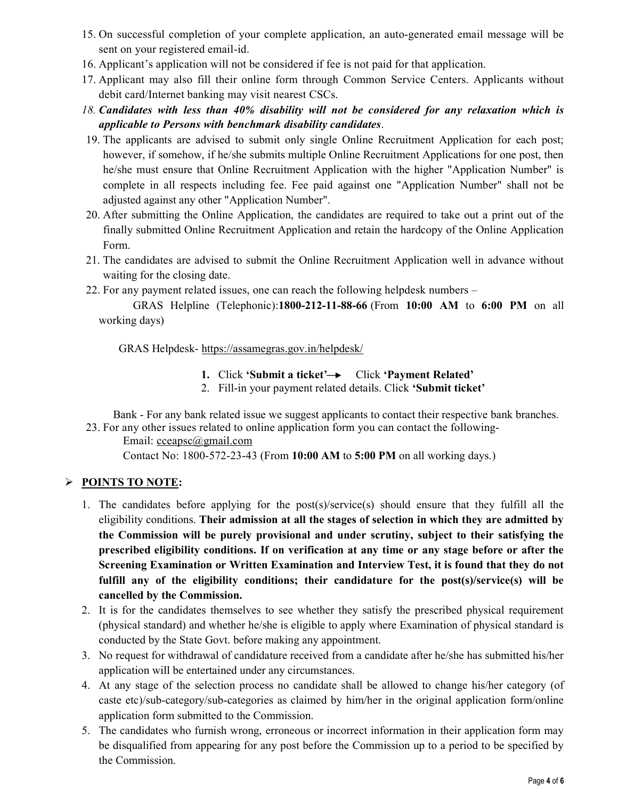- 15. On successful completion of your complete application, an auto-generated email message will be sent on your registered email-id.
- 16. Applicant's application will not be considered if fee is not paid for that application.
- 17. Applicant may also fill their online form through Common Service Centers. Applicants without debit card/Internet banking may visit nearest CSCs.
- 18. Candidates with less than 40% disability will not be considered for any relaxation which is applicable to Persons with benchmark disability candidates.
- 19. The applicants are advised to submit only single Online Recruitment Application for each post; however, if somehow, if he/she submits multiple Online Recruitment Applications for one post, then he/she must ensure that Online Recruitment Application with the higher "Application Number" is complete in all respects including fee. Fee paid against one "Application Number" shall not be adjusted against any other "Application Number".
- 20. After submitting the Online Application, the candidates are required to take out a print out of the finally submitted Online Recruitment Application and retain the hardcopy of the Online Application Form.
- 21. The candidates are advised to submit the Online Recruitment Application well in advance without waiting for the closing date.
- 22. For any payment related issues, one can reach the following helpdesk numbers –

 GRAS Helpline (Telephonic):1800-212-11-88-66 (From 10:00 AM to 6:00 PM on all working days)

GRAS Helpdesk- https://assamegras.gov.in/helpdesk/

- 1. Click 'Submit a ticket' $\rightarrow$  Click 'Payment Related'
- 2. Fill-in your payment related details. Click 'Submit ticket'

 Bank - For any bank related issue we suggest applicants to contact their respective bank branches. 23. For any other issues related to online application form you can contact the following-

Email: cceapsc@gmail.com

Contact No: 1800-572-23-43 (From 10:00 AM to 5:00 PM on all working days.)

## $\triangleright$  POINTS TO NOTE:

- 1. The candidates before applying for the post(s)/service(s) should ensure that they fulfill all the eligibility conditions. Their admission at all the stages of selection in which they are admitted by the Commission will be purely provisional and under scrutiny, subject to their satisfying the prescribed eligibility conditions. If on verification at any time or any stage before or after the Screening Examination or Written Examination and Interview Test, it is found that they do not fulfill any of the eligibility conditions; their candidature for the post(s)/service(s) will be cancelled by the Commission.
- 2. It is for the candidates themselves to see whether they satisfy the prescribed physical requirement (physical standard) and whether he/she is eligible to apply where Examination of physical standard is conducted by the State Govt. before making any appointment.
- 3. No request for withdrawal of candidature received from a candidate after he/she has submitted his/her application will be entertained under any circumstances.
- 4. At any stage of the selection process no candidate shall be allowed to change his/her category (of caste etc)/sub-category/sub-categories as claimed by him/her in the original application form/online application form submitted to the Commission.
- 5. The candidates who furnish wrong, erroneous or incorrect information in their application form may be disqualified from appearing for any post before the Commission up to a period to be specified by the Commission.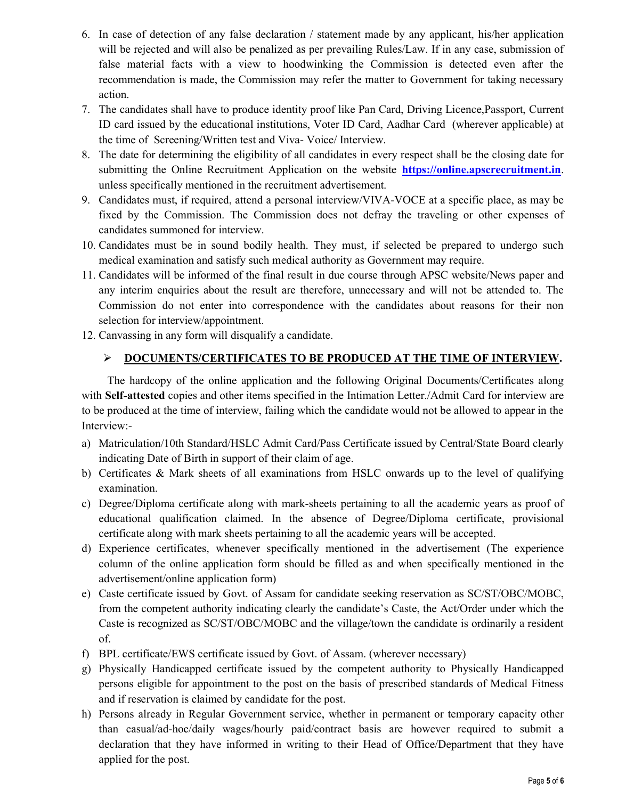- 6. In case of detection of any false declaration / statement made by any applicant, his/her application will be rejected and will also be penalized as per prevailing Rules/Law. If in any case, submission of false material facts with a view to hoodwinking the Commission is detected even after the recommendation is made, the Commission may refer the matter to Government for taking necessary action.
- 7. The candidates shall have to produce identity proof like Pan Card, Driving Licence,Passport, Current ID card issued by the educational institutions, Voter ID Card, Aadhar Card (wherever applicable) at the time of Screening/Written test and Viva- Voice/ Interview.
- 8. The date for determining the eligibility of all candidates in every respect shall be the closing date for submitting the Online Recruitment Application on the website https://online.apscrecruitment.in. unless specifically mentioned in the recruitment advertisement.
- 9. Candidates must, if required, attend a personal interview/VIVA-VOCE at a specific place, as may be fixed by the Commission. The Commission does not defray the traveling or other expenses of candidates summoned for interview.
- 10. Candidates must be in sound bodily health. They must, if selected be prepared to undergo such medical examination and satisfy such medical authority as Government may require.
- 11. Candidates will be informed of the final result in due course through APSC website/News paper and any interim enquiries about the result are therefore, unnecessary and will not be attended to. The Commission do not enter into correspondence with the candidates about reasons for their non selection for interview/appointment.
- 12. Canvassing in any form will disqualify a candidate.

## DOCUMENTS/CERTIFICATES TO BE PRODUCED AT THE TIME OF INTERVIEW.

 The hardcopy of the online application and the following Original Documents/Certificates along with **Self-attested** copies and other items specified in the Intimation Letter./Admit Card for interview are to be produced at the time of interview, failing which the candidate would not be allowed to appear in the Interview:-

- a) Matriculation/10th Standard/HSLC Admit Card/Pass Certificate issued by Central/State Board clearly indicating Date of Birth in support of their claim of age.
- b) Certificates & Mark sheets of all examinations from HSLC onwards up to the level of qualifying examination.
- c) Degree/Diploma certificate along with mark-sheets pertaining to all the academic years as proof of educational qualification claimed. In the absence of Degree/Diploma certificate, provisional certificate along with mark sheets pertaining to all the academic years will be accepted.
- d) Experience certificates, whenever specifically mentioned in the advertisement (The experience column of the online application form should be filled as and when specifically mentioned in the advertisement/online application form)
- e) Caste certificate issued by Govt. of Assam for candidate seeking reservation as SC/ST/OBC/MOBC, from the competent authority indicating clearly the candidate's Caste, the Act/Order under which the Caste is recognized as SC/ST/OBC/MOBC and the village/town the candidate is ordinarily a resident of.
- f) BPL certificate/EWS certificate issued by Govt. of Assam. (wherever necessary)
- g) Physically Handicapped certificate issued by the competent authority to Physically Handicapped persons eligible for appointment to the post on the basis of prescribed standards of Medical Fitness and if reservation is claimed by candidate for the post.
- h) Persons already in Regular Government service, whether in permanent or temporary capacity other than casual/ad-hoc/daily wages/hourly paid/contract basis are however required to submit a declaration that they have informed in writing to their Head of Office/Department that they have applied for the post.